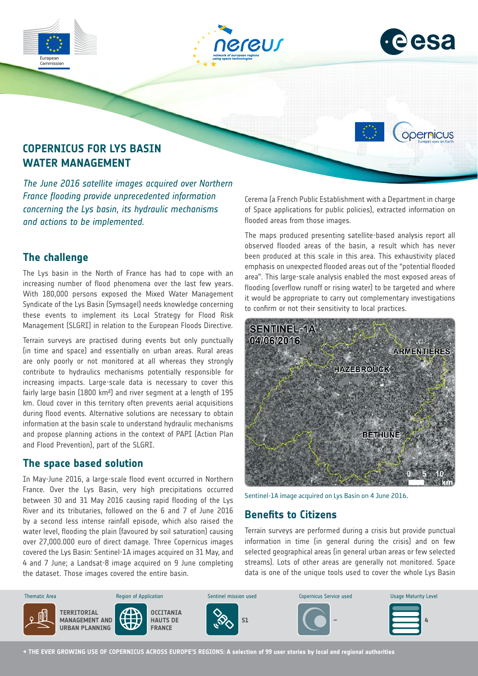



opernicus



*The June 2016 satellite images acquired over Northern France flooding provide unprecedented information concerning the Lys basin, its hydraulic mechanisms and actions to be implemented.*

### **The challenge**

The Lys basin in the North of France has had to cope with an increasing number of flood phenomena over the last few years. With 180,000 persons exposed the Mixed Water Management Syndicate of the Lys Basin (Symsagel) needs knowledge concerning these events to implement its Local Strategy for Flood Risk Management (SLGRI) in relation to the European Floods Directive.

Terrain surveys are practised during events but only punctually (in time and space) and essentially on urban areas. Rural areas are only poorly or not monitored at all whereas they strongly contribute to hydraulics mechanisms potentially responsible for increasing impacts. Large-scale data is necessary to cover this fairly large basin (1800 km²) and river segment at a length of 195 km. Cloud cover in this territory often prevents aerial acquisitions during flood events. Alternative solutions are necessary to obtain information at the basin scale to understand hydraulic mechanisms and propose planning actions in the context of PAPI (Action Plan and Flood Prevention), part of the SLGRI.

# **The space based solution**

In May-June 2016, a large-scale flood event occurred in Northern France. Over the Lys Basin, very high precipitations occurred between 30 and 31 May 2016 causing rapid flooding of the Lys River and its tributaries, followed on the 6 and 7 of June 2016 by a second less intense rainfall episode, which also raised the water level, flooding the plain (favoured by soil saturation) causing over 27,000.000 euro of direct damage. Three Copernicus images covered the Lys Basin: Sentinel-1A images acquired on 31 May, and 4 and 7 June; a Landsat-8 image acquired on 9 June completing the dataset. Those images covered the entire basin.

Cerema (a French Public Establishment with a Department in charge of Space applications for public policies), extracted information on flooded areas from those images.

The maps produced presenting satellite-based analysis report all observed flooded areas of the basin, a result which has never been produced at this scale in this area. This exhaustivity placed emphasis on unexpected flooded areas out of the "potential flooded area". This large-scale analysis enabled the most exposed areas of flooding (overflow runoff or rising water) to be targeted and where it would be appropriate to carry out complementary investigations to confirm or not their sensitivity to local practices.



Sentinel-1A image acquired on Lys Basin on 4 June 2016.

# **Benefits to Citizens**

Terrain surveys are performed during a crisis but provide punctual information in time (in general during the crisis) and on few selected geographical areas (in general urban areas or few selected streams). Lots of other areas are generally not monitored. Space data is one of the unique tools used to cover the whole Lys Basin



**→ THE EVER GROWING USE OF COPERNICUS ACROSS EUROPE'S REGIONS: A selection of 99 user stories by local and regional authorities**